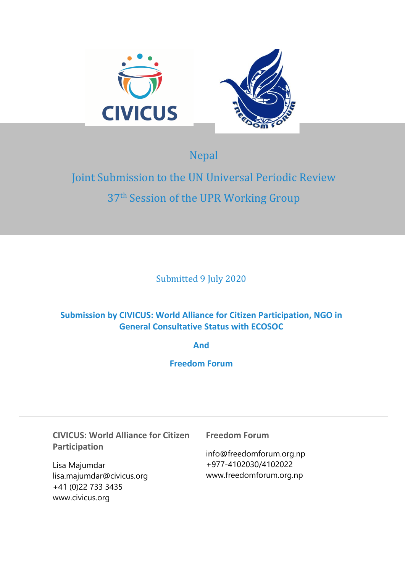

Nepal

# Joint Submission to the UN Universal Periodic Review 37<sup>th</sup> Session of the UPR Working Group

Submitted 9 July 2020

## **Submission by CIVICUS: World Alliance for Citizen Participation, NGO in General Consultative Status with ECOSOC**

**And**

**Freedom Forum**

**CIVICUS: World Alliance for Citizen Participation**

Lisa Majumdar lisa.majumdar@civicus.org +41 (0)22 733 3435 www.civicus.org

**Freedom Forum**

info@freedomforum.org.np +977-4102030/4102022 www.freedomforum.org.np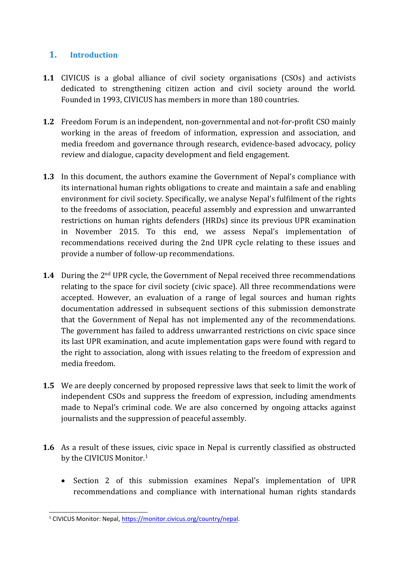### **1. Introduction**

- **1.1** CIVICUS is <sup>a</sup> global alliance of civil society organisations (CSOs) and activists dedicated to strengthening citizen action and civil society around the world. Founded in 1993, CIVICUS has members in more than 180 countries.
- **1.2** Freedom Forum is an independent, non-governmental and not-for-profit CSO mainly working in the areas of freedom of information, expression and association, and media freedom and governance through research, evidence-based advocacy, policy review and dialogue, capacity development and field engagement.
- **1.3** In this document, the authors examine the Government of Nepal'<sup>s</sup> compliance with its international human rights obligations to create and maintain <sup>a</sup> safe and enabling environment for civil society. Specifically, we analyse Nepal'<sup>s</sup> fulfilment of the rights to the freedoms of association, peaceful assembly and expression and unwarranted restrictions on human rights defenders (HRDs) since its previous UPR examination in November 2015. To this end, we assess Nepal'<sup>s</sup> implementation of recommendations received during the 2nd UPR cycle relating to these issues and provide <sup>a</sup> number of follow-up recommendations.
- **1.4** During the 2<sup>nd</sup> UPR cycle, the Government of Nepal received three recommendations relating to the space for civil society (civic space). All three recommendations were accepted. However, an evaluation of <sup>a</sup> range of legal sources and human rights documentation addressed in subsequent sections of this submission demonstrate that the Government of Nepal has not implemented any of the recommendations. The governmen<sup>t</sup> has failed to address unwarranted restrictions on civic space since its last UPR examination, and acute implementation gaps were found with regard to the right to association, along with issues relating to the freedom of expression and media freedom.
- **1.5** We are deeply concerned by proposed repressive laws that seek to limit the work of independent CSOs and suppress the freedom of expression, including amendments made to Nepal'<sup>s</sup> criminal code. We are also concerned by ongoing attacks against journalists and the suppression of peaceful assembly.
- **1.6** As <sup>a</sup> result of these issues, civic space in Nepal is currently classified as obstructed by the CIVICUS Monitor. 1
	- Section 2 of this submission examines Nepal's implementation of UPR recommendations and compliance with international human rights standards

<sup>&</sup>lt;sup>1</sup> CIVICUS Monitor: Nepal, [https://monitor.civicus.org/country/nepal](https://monitor.civicus.org/country/nepal/).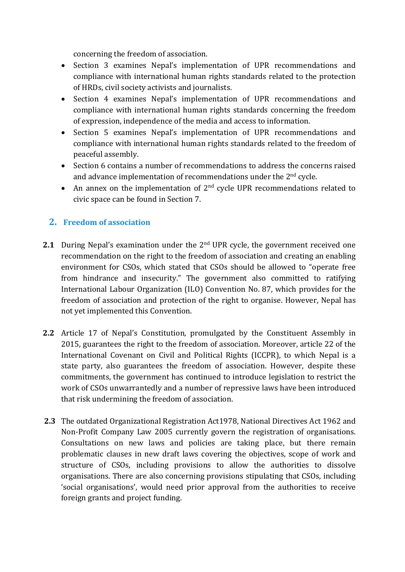concerning the freedom of association.

- Section 3 examines Nepal'<sup>s</sup> implementation of UPR recommendations and compliance with international human rights standards related to the protection of HRDs, civil society activists and journalists.
- Section 4 examines Nepal'<sup>s</sup> implementation of UPR recommendations and compliance with international human rights standards concerning the freedom of expression, independence of the media and access to information.
- Section 5 examines Nepal'<sup>s</sup> implementation of UPR recommendations and compliance with international human rights standards related to the freedom of peaceful assembly.
- $\bullet$  Section 6 contains <sup>a</sup> number of recommendations to address the concerns raised and advance implementation of recommendations under the 2 $^{\rm{nd}}$  cycle.
- An annex on the implementation of  $2<sup>nd</sup>$  cycle UPR recommendations related to civic space can be found in Section 7.

## **2. Freedom of association**

- **2.1** During Nepal'<sup>s</sup> examination under the <sup>2</sup>nd UPR cycle, the governmen<sup>t</sup> received one recommendation on the right to the freedom of association and creating an enabling environment for CSOs, which stated that CSOs should be allowed to "operate free from hindrance and insecurity." The governmen<sup>t</sup> also committed to ratifying International Labour Organization (ILO) Convention No. 87, which provides for the freedom of association and protection of the right to organise. However, Nepal has not yet implemented this Convention.
- **2.2** Article 17 of Nepal'<sup>s</sup> Constitution, promulgated by the Constituent Assembly in 2015, guarantees the right to the freedom of association. Moreover, article 22 of the International Covenant on Civil and Political Rights (ICCPR), to which Nepal is <sup>a</sup> state party, also guarantees the freedom of association. However, despite these commitments, the governmen<sup>t</sup> has continued to introduce legislation to restrict the work of CSOs unwarrantedly and <sup>a</sup> number of repressive laws have been introduced that risk undermining the freedom of association.
- **2.3** The outdated Organizational Registration Act1978, National Directives Act 1962 and Non-Profit Company Law 2005 currently govern the registration of organisations. Consultations on new laws and policies are taking place, but there remain problematic clauses in new draft laws covering the objectives, scope of work and structure of CSOs, including provisions to allow the authorities to dissolve organisations. There are also concerning provisions stipulating that CSOs, including 'social organisations', would need prior approval from the authorities to receive foreign grants and project funding.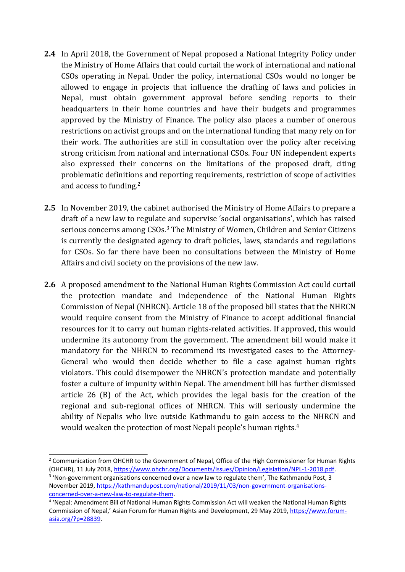- **2.4** In April 2018, the Government of Nepal proposed <sup>a</sup> National Integrity Policy under the Ministry of Home Affairs that could curtail the work of international and national CSOs operating in Nepal. Under the policy, international CSOs would no longer be allowed to engage in projects that influence the drafting of laws and policies in Nepal, must obtain governmen<sup>t</sup> approval before sending reports to their headquarters in their home countries and have their budgets and programmes approved by the Ministry of Finance. The policy also places <sup>a</sup> number of onerous restrictions on activist groups and on the international funding that many rely on for their work. The authorities are still in consultation over the policy after receiving strong criticism from national and international CSOs. Four UN independent experts also expressed their concerns on the limitations of the proposed draft, citing problematic definitions and reporting requirements, restriction of scope of activities and access to funding.<sup>2</sup>
- **2.5** In November 2019, the cabinet authorised the Ministry of Home Affairs to prepare <sup>a</sup> draft of <sup>a</sup> new law to regulate and supervise 'social organisations', which has raised serious concerns among CSOs.<sup>3</sup> The Ministry of Women, Children and Senior Citizens is currently the designated agency to draft policies, laws, standards and regulations for CSOs. So far there have been no consultations between the Ministry of Home Affairs and civil society on the provisions of the new law.
- **2.6** A proposed amendment to the National Human Rights Commission Act could curtail the protection mandate and independence of the National Human Rights Commission of Nepal (NHRCN). Article 18 of the proposed bill states that the NHRCN would require consent from the Ministry of Finance to accept additional financial resources for it to carry out human rights-related activities. If approved, this would undermine its autonomy from the government. The amendment bill would make it mandatory for the NHRCN to recommend its investigated cases to the Attorney-General who would then decide whether to file <sup>a</sup> case against human rights violators. This could disempower the NHRCN'<sup>s</sup> protection mandate and potentially foster <sup>a</sup> culture of impunity within Nepal. The amendment bill has further dismissed article 26 (B) of the Act, which provides the legal basis for the creation of the regional and sub-regional offices of NHRCN. This will seriously undermine the ability of Nepalis who live outside Kathmandu to gain access to the NHRCN and would weaken the protection of most Nepali people's human rights. $^4$

4

<sup>&</sup>lt;sup>2</sup> Communication from OHCHR to the Government of Nepal, Office of the High Commissioner for Human Rights (OHCHR), 11 July 2018, <https://www.ohchr.org/Documents/Issues/Opinion/Legislation/NPL-1-2018.pdf>.

<sup>&</sup>lt;sup>3</sup> 'Non-government organisations concerned over a new law to regulate them', The Kathmandu Post, 3 November 2019, [https://kathmandupost.com/national/2019/11/03/non-government-organisations](https://kathmandupost.com/national/2019/11/03/non-government-organisations-concerned-over-a-new-law-to-regulate-them)[concerned-over-a-new-law-to-regulate-them](https://kathmandupost.com/national/2019/11/03/non-government-organisations-concerned-over-a-new-law-to-regulate-them).

<sup>4</sup> 'Nepal: Amendment Bill of National Human Rights Commission Act will weaken the National Human Rights Commission of Nepal,' Asian Forum for Human Rights and Development, 29 May 2019, [https://www.forum](https://www.forum-asia.org/?p=28839)[asia.org/?p=28839](https://www.forum-asia.org/?p=28839).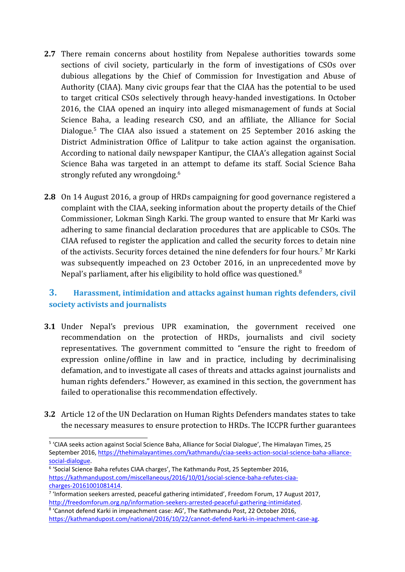- **2.7** There remain concerns about hostility from Nepalese authorities towards some sections of civil society, particularly in the form of investigations of CSOs over dubious allegations by the Chief of Commission for Investigation and Abuse of Authority (CIAA). Many civic groups fear that the CIAA has the potential to be used to target critical CSOs selectively through heavy-handed investigations. In October 2016, the CIAA opened an inquiry into alleged mismanagement of funds at Social Science Baha, <sup>a</sup> leading research CSO, and an affiliate, the Alliance for Social Dialogue. 5 The CIAA also issued <sup>a</sup> statement on 25 September 2016 asking the District Administration Office of Lalitpur to take action against the organisation. According to national daily newspaper Kantipur, the CIAA'<sup>s</sup> allegation against Social Science Baha was targeted in an attempt to defame its staff. Social Science Baha strongly refuted any wrongdoing. 6
- **2.8** On 14 August 2016, <sup>a</sup> group of HRDs campaigning for good governance registered <sup>a</sup> complaint with the CIAA, seeking information about the property details of the Chief Commissioner, Lokman Singh Karki. The group wanted to ensure that Mr Karki was adhering to same financial declaration procedures that are applicable to CSOs. The CIAA refused to register the application and called the security forces to detain nine of the activists. Security forces detained the nine defenders for four hours. <sup>7</sup> Mr Karki was subsequently impeached on 23 October 2016, in an unprecedented move by Nepal's parliament, after his eligibility to hold office was questioned. $^8$

## **3. Harassment, intimidation and attacks against human rights defenders, civil society activists and journalists**

- **3.1** Under Nepal'<sup>s</sup> previous UPR examination, the governmen<sup>t</sup> received one recommendation on the protection of HRDs, journalists and civil society representatives. The governmen<sup>t</sup> committed to "ensure the right to freedom of expression online/offline in law and in practice, including by decriminalising defamation, and to investigate all cases of threats and attacks against journalists and human rights defenders." However, as examined in this section, the governmen<sup>t</sup> has failed to operationalise this recommendation effectively.
- **3.2** Article 12 of the UN Declaration on Human Rights Defenders mandates states to take the necessary measures to ensure protection to HRDs. The ICCPR further guarantees

<sup>5</sup> 'CIAA seeks action against Social Science Baha, Alliance for Social Dialogue', The Himalayan Times, 25 September 2016, [https://thehimalayantimes.com/kathmandu/ciaa-seeks-action-social-science-baha-alliance](https://thehimalayantimes.com/kathmandu/ciaa-seeks-action-social-science-baha-alliance-social-dialogue/)[social-dialogue](https://thehimalayantimes.com/kathmandu/ciaa-seeks-action-social-science-baha-alliance-social-dialogue/).

<sup>6</sup> 'Social Science Baha refutes CIAA charges', The Kathmandu Post, 25 September 2016, [https://kathmandupost.com/miscellaneous/2016/10/01/social-science-baha-refutes-ciaa](https://kathmandupost.com/miscellaneous/2016/10/01/social-science-baha-refutes-ciaa-charges-20161001081414)[charges-20161001081414](https://kathmandupost.com/miscellaneous/2016/10/01/social-science-baha-refutes-ciaa-charges-20161001081414).

<sup>&</sup>lt;sup>7</sup> 'Information seekers arrested, peaceful gathering intimidated', Freedom Forum, 17 August 2017, [http://freedomforum.org.np/information-seekers-arrested-peaceful-gathering-intimidated](http://freedomforum.org.np/information-seekers-arrested-peaceful-gathering-intimidated/).

<sup>8</sup> 'Cannot defend Karki in impeachment case: AG', The Kathmandu Post, 22 October 2016, <https://kathmandupost.com/national/2016/10/22/cannot-defend-karki-in-impeachment-case-ag>.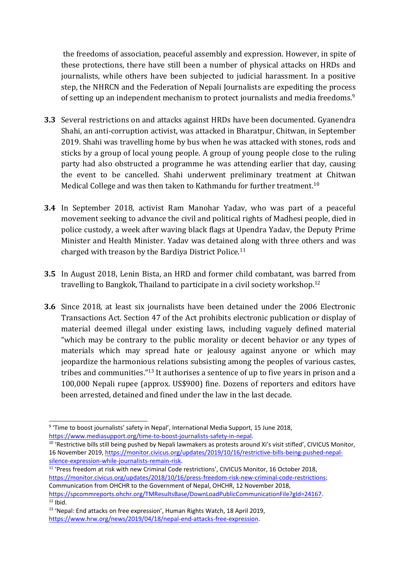the freedoms of association, peaceful assembly and expression. However, in spite of these protections, there have still been <sup>a</sup> number of physical attacks on HRDs and journalists, while others have been subjected to judicial harassment. In <sup>a</sup> positive step, the NHRCN and the Federation of Nepali Journalists are expediting the process of setting up an independent mechanism to protect journalists and media freedoms. $^{\mathrm{g}}$ 

- **3.3** Several restrictions on and attacks against HRDs have been documented. Gyanendra Shahi, an anti-corruption activist, was attacked in Bharatpur, Chitwan, in September 2019. Shahi was travelling home by bus when he was attacked with stones, rods and sticks by <sup>a</sup> group of local young people. A group of young people close to the ruling party had also obstructed <sup>a</sup> programme he was attending earlier that day, causing the event to be cancelled. Shahi underwent preliminary treatment at Chitwan Medical College and was then taken to Kathmandu for further treatment. $^{10}$
- **3.4** In September 2018, activist Ram Manohar Yadav, who was part of <sup>a</sup> peaceful movement seeking to advance the civil and political rights of Madhesi people, died in police custody, <sup>a</sup> week after waving black flags at Upendra Yadav, the Deputy Prime Minister and Health Minister. Yadav was detained along with three others and was charged with treason by the Bardiya District Police. 11
- **3.5** In August 2018, Lenin Bista, an HRD and former child combatant, was barred from travelling to Bangkok, Thailand to participate in a civil society workshop.<sup>12</sup>
- **3.6** Since 2018, at least six journalists have been detained under the 2006 Electronic Transactions Act. Section 47 of the Act prohibits electronic publication or display of material deemed illegal under existing laws, including vaguely defined material "which may be contrary to the public morality or decent behavior or any types of materials which may spread hate or jealousy against anyone or which may jeopardize the harmonious relations subsisting among the peoples of various castes, tribes and communities."<sup>13</sup> It authorises a sentence of up to five years in prison and a 100,000 Nepali rupee (approx. US\$900) fine. Dozens of reporters and editors have been arrested, detained and fined under the law in the last decade.

<sup>&</sup>lt;sup>9</sup> 'Time to boost journalists' safety in Nepal', International Media Support, 15 June 2018, [https://www.mediasupport.org/time-to-boost-journalists-safety-in-nepal](https://www.mediasupport.org/time-to-boost-journalists-safety-in-nepal/).

<sup>&</sup>lt;sup>10</sup> 'Restrictive bills still being pushed by Nepali lawmakers as protests around Xi's visit stifled', CIVICUS Monitor, 16 November 2019, [https://monitor.civicus.org/updates/2019/10/16/restrictive-bills-being-pushed-nepal](https://monitor.civicus.org/updates/2019/10/16/restrictive-bills-being-pushed-nepal-silence-expression-while-journalists-remain-risk/)[silence-expression-while-journalists-remain-risk](https://monitor.civicus.org/updates/2019/10/16/restrictive-bills-being-pushed-nepal-silence-expression-while-journalists-remain-risk/).

<sup>&</sup>lt;sup>11</sup> 'Press freedom at risk with new Criminal Code restrictions', CIVICUS Monitor, 16 October 2018, [https://monitor.civicus.org/updates/2018/10/16/press-freedom-risk-new-criminal-code-restrictions](https://monitor.civicus.org/updates/2018/10/16/press-freedom-risk-new-criminal-code-restrictions/); Communication from OHCHR to the Government of Nepal, OHCHR, 12 November 2018, <https://spcommreports.ohchr.org/TMResultsBase/DownLoadPublicCommunicationFile?gId=24167>.  $12$  Ibid.

<sup>&</sup>lt;sup>13</sup> 'Nepal: End attacks on free expression', Human Rights Watch, 18 April 2019, [https://www.hrw.org/news/2019/04/18/nepal-end-attacks-free-expression](https://www.hrw.org/news/2019/04/18/nepal-end-attacks-free-expression#:~:text=Section%2047%20of%20the%20Electronic,or%20jealousy%20against%20anyone%20or).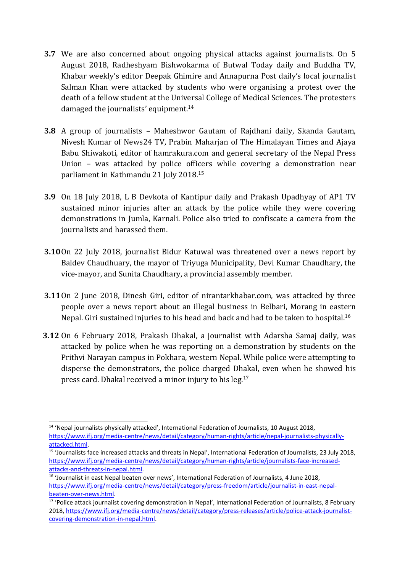- **3.7** We are also concerned about ongoing physical attacks against journalists. On 5 August 2018, Radheshyam Bishwokarma of Butwal Today daily and Buddha TV, Khabar weekly'<sup>s</sup> editor Deepak Ghimire and Annapurna Post daily'<sup>s</sup> local journalist Salman Khan were attacked by students who were organising <sup>a</sup> protest over the death of <sup>a</sup> fellow student at the Universal College of Medical Sciences. The protesters damaged the journalists' equipment. 14
- **3.8** A group of journalists Maheshwor Gautam of Rajdhani daily, Skanda Gautam, Nivesh Kumar of News24 TV, Prabin Maharjan of The Himalayan Times and Ajaya Babu Shiwakoti, editor of hamrakura.com and general secretary of the Nepal Press Union – was attacked by police officers while covering <sup>a</sup> demonstration near parliament in Kathmandu 21 July 2018. 15
- **3.9** On 18 July 2018, L B Devkota of Kantipur daily and Prakash Upadhyay of AP1 TV sustained minor injuries after an attack by the police while they were covering demonstrations in Jumla, Karnali. Police also tried to confiscate <sup>a</sup> camera from the journalists and harassed them.
- **3.10**On 22 July 2018, journalist Bidur Katuwal was threatened over <sup>a</sup> news report by Baldev Chaudhuary, the mayor of Triyuga Municipality, Devi Kumar Chaudhary, the vice-mayor, and Sunita Chaudhary, <sup>a</sup> provincial assembly member.
- **3.11**On 2 June 2018, Dinesh Giri, editor of nirantarkhabar.com, was attacked by three people over <sup>a</sup> news report about an illegal business in Belbari, Morang in eastern Nepal. Giri sustained injuries to his head and back and had to be taken to hospital. $^{16}$
- **3.12** On 6 February 2018, Prakash Dhakal, <sup>a</sup> journalist with Adarsha Samaj daily, was attacked by police when he was reporting on <sup>a</sup> demonstration by students on the Prithvi Narayan campus in Pokhara, western Nepal. While police were attempting to disperse the demonstrators, the police charged Dhakal, even when he showed his press card. Dhakal received a minor injury to his leg.<sup>17</sup>

<sup>&</sup>lt;sup>14</sup> 'Nepal journalists physically attacked', International Federation of Journalists, 10 August 2018, [https://www.ifj.org/media-centre/news/detail/category/human-rights/article/nepal-journalists-physically](https://www.ifj.org/media-centre/news/detail/category/human-rights/article/nepal-journalists-physically-attacked.html)[attacked.html](https://www.ifj.org/media-centre/news/detail/category/human-rights/article/nepal-journalists-physically-attacked.html).

<sup>&</sup>lt;sup>15</sup> 'Journalists face increased attacks and threats in Nepal', International Federation of Journalists, 23 July 2018, [https://www.ifj.org/media-centre/news/detail/category/human-rights/article/journalists-face-increased](https://www.ifj.org/media-centre/news/detail/category/human-rights/article/journalists-face-increased-attacks-and-threats-in-nepal.html)[attacks-and-threats-in-nepal.html](https://www.ifj.org/media-centre/news/detail/category/human-rights/article/journalists-face-increased-attacks-and-threats-in-nepal.html).

<sup>&</sup>lt;sup>16</sup> 'Journalist in east Nepal beaten over news', International Federation of Journalists, 4 June 2018, [https://www.ifj.org/media-centre/news/detail/category/press-freedom/article/journalist-in-east-nepal](https://www.ifj.org/media-centre/news/detail/category/press-freedom/article/journalist-in-east-nepal-beaten-over-news.html)[beaten-over-news.html](https://www.ifj.org/media-centre/news/detail/category/press-freedom/article/journalist-in-east-nepal-beaten-over-news.html).

<sup>&</sup>lt;sup>17</sup> 'Police attack journalist covering demonstration in Nepal', International Federation of Journalists, 8 February 2018, [https://www.ifj.org/media-centre/news/detail/category/press-releases/article/police-attack-journalist](https://www.ifj.org/media-centre/news/detail/category/press-releases/article/police-attack-journalist-covering-demonstration-in-nepal.html)[covering-demonstration-in-nepal.html](https://www.ifj.org/media-centre/news/detail/category/press-releases/article/police-attack-journalist-covering-demonstration-in-nepal.html).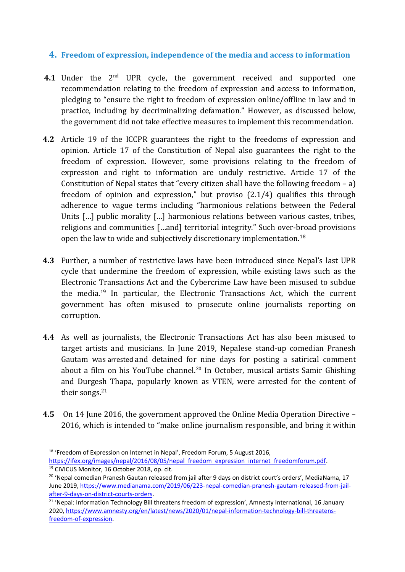#### **4. Freedom of expression, independence of the media and access to information**

- **4.1** Under the 2<sup>nd</sup> UPR cycle, the government received and supported one recommendation relating to the freedom of expression and access to information, pledging to "ensure the right to freedom of expression online/offline in law and in practice, including by decriminalizing defamation." However, as discussed below, the governmen<sup>t</sup> did not take effective measures to implement this recommendation.
- **4.2** Article 19 of the ICCPR guarantees the right to the freedoms of expression and opinion. Article 17 of the Constitution of Nepal also guarantees the right to the freedom of expression. However, some provisions relating to the freedom of expression and right to information are unduly restrictive. Article 17 of the Constitution of Nepal states that "every citizen shall have the following freedom – a) freedom of opinion and expression," but proviso (2.1/4) qualifies this through adherence to vague terms including "harmonious relations between the Federal Units […] public morality […] harmonious relations between various castes, tribes, religions and communities […and] territorial integrity." Such over-broad provisions open the law to wide and subjectively discretionary implementation. $^{18}$
- **4.3** Further, <sup>a</sup> number of restrictive laws have been introduced since Nepal'<sup>s</sup> last UPR cycle that undermine the freedom of expression, while existing laws such as the Electronic Transactions Act and the Cybercrime Law have been misused to subdue the media.<sup>19</sup> In particular, the Electronic Transactions Act, which the current governmen<sup>t</sup> has often misused to prosecute online journalists reporting on corruption.
- **4.4** As well as journalists, the Electronic Transactions Act has also been misused to target artists and musicians. In June 2019, Nepalese stand-up comedian Pranesh Gautam was arrested and detained for nine days for posting <sup>a</sup> satirical comment about a film on his YouTube channel.<sup>20</sup> In October, musical artists Samir Ghishing and Durgesh Thapa, popularly known as VTEN, were arrested for the content of their songs.<sup>21</sup>
- **4.5** On 14 June 2016, the governmen<sup>t</sup> approved the Online Media Operation Directive 2016, which is intended to "make online journalism responsible, and bring it within

<sup>&</sup>lt;sup>18</sup> 'Freedom of Expression on Internet in Nepal', Freedom Forum, 5 August 2016, [https://ifex.org/images/nepal/2016/08/05/nepal\\_freedom\\_expression\\_internet\\_freedomforum.pdf](https://ifex.org/images/nepal/2016/08/05/nepal_freedom_expression_internet_freedomforum.pdf).

<sup>19</sup> CIVICUS Monitor, 16 October 2018, op. cit.

<sup>&</sup>lt;sup>20</sup> 'Nepal comedian Pranesh Gautan released from jail after 9 days on district court's orders', MediaNama, 17 June 2019, [https://www.medianama.com/2019/06/223-nepal-comedian-pranesh-gautam-released-from-jail](https://www.medianama.com/2019/06/223-nepal-comedian-pranesh-gautam-released-from-jail-after-9-days-on-district-courts-orders/)[after-9-days-on-district-courts-orders](https://www.medianama.com/2019/06/223-nepal-comedian-pranesh-gautam-released-from-jail-after-9-days-on-district-courts-orders/).

<sup>&</sup>lt;sup>21</sup> 'Nepal: Information Technology Bill threatens freedom of expression', Amnesty International, 16 January 2020, [https://www.amnesty.org/en/latest/news/2020/01/nepal-information-technology-bill-threatens](https://www.amnesty.org/en/latest/news/2020/01/nepal-information-technology-bill-threatens-freedom-of-expression/)[freedom-of-expression](https://www.amnesty.org/en/latest/news/2020/01/nepal-information-technology-bill-threatens-freedom-of-expression/).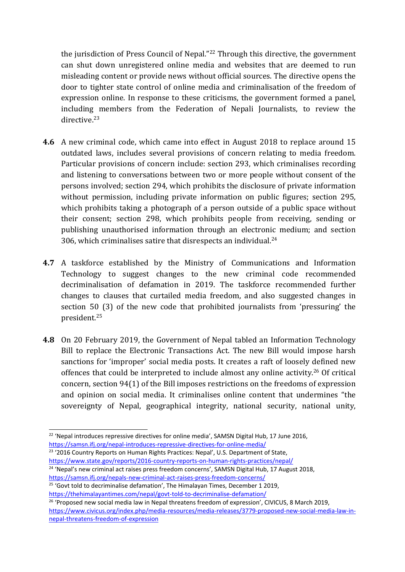the jurisdiction of Press Council of Nepal." 22 Through this directive, the governmen<sup>t</sup> can shut down unregistered online media and websites that are deemed to run misleading content or provide news without official sources. The directive opens the door to tighter state control of online media and criminalisation of the freedom of expression online. In response to these criticisms, the governmen<sup>t</sup> formed <sup>a</sup> panel, including members from the Federation of Nepali Journalists, to review the directive.<sup>23</sup>

- **4.6** A new criminal code, which came into effect in August 2018 to replace around 15 outdated laws, includes several provisions of concern relating to media freedom. Particular provisions of concern include: section 293, which criminalises recording and listening to conversations between two or more people without consent of the persons involved; section 294, which prohibits the disclosure of private information without permission, including private information on public figures; section 295, which prohibits taking <sup>a</sup> photograph of <sup>a</sup> person outside of <sup>a</sup> public space without their consent; section 298, which prohibits people from receiving, sending or publishing unauthorised information through an electronic medium; and section 306, which criminalises satire that disrespects an individual. $^{\rm 24}$
- **4.7** A taskforce established by the Ministry of Communications and Information Technology to sugges<sup>t</sup> changes to the new criminal code recommended decriminalisation of defamation in 2019. The taskforce recommended further changes to clauses that curtailed media freedom, and also suggested changes in section 50 (3) of the new code that prohibited journalists from 'pressuring' the president. 25
- **4.8** On 20 February 2019, the Government of Nepal tabled an Information Technology Bill to replace the Electronic Transactions Act. The new Bill would impose harsh sanctions for 'improper' social media posts. It creates <sup>a</sup> raft of loosely defined new offences that could be interpreted to include almost any online activity.<sup>26</sup> Of critical concern, section 94(1) of the Bill imposes restrictions on the freedoms of expression and opinion on social media. It criminalises online content that undermines "the sovereignty of Nepal, geographical integrity, national security, national unity,

<sup>&</sup>lt;sup>22</sup> 'Nepal introduces repressive directives for online media', SAMSN Digital Hub, 17 June 2016, <https://samsn.ifj.org/nepal-introduces-repressive-directives-for-online-media/>

<sup>&</sup>lt;sup>23</sup> '2016 Country Reports on Human Rights Practices: Nepal', U.S. Department of State, <https://www.state.gov/reports/2016-country-reports-on-human-rights-practices/nepal/> <sup>24</sup> 'Nepal's new criminal act raises press freedom concerns', SAMSN Digital Hub, 17 August 2018,

<https://samsn.ifj.org/nepals-new-criminal-act-raises-press-freedom-concerns/>

<sup>&</sup>lt;sup>25</sup> 'Govt told to decriminalise defamation', The Himalayan Times, December 1 2019, <https://thehimalayantimes.com/nepal/govt-told-to-decriminalise-defamation/>

<sup>&</sup>lt;sup>26</sup> 'Proposed new social media law in Nepal threatens freedom of expression', CIVICUS, 8 March 2019, [https://www.civicus.org/index.php/media-resources/media-releases/3779-proposed-new-social-media-law-in](https://www.civicus.org/index.php/media-resources/media-releases/3779-proposed-new-social-media-law-in-nepal-threatens-freedom-of-expression)[nepal-threatens-freedom-of-expression](https://www.civicus.org/index.php/media-resources/media-releases/3779-proposed-new-social-media-law-in-nepal-threatens-freedom-of-expression)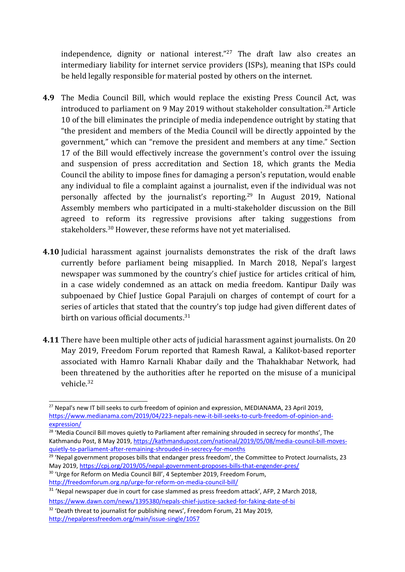independence, dignity or national interest." 27 The draft law also creates an intermediary liability for internet service providers (ISPs), meaning that ISPs could be held legally responsible for material posted by others on the internet.

- **4.9** The Media Council Bill, which would replace the existing Press Council Act, was introduced to parliament on 9 May 2019 without stakeholder consultation. 28 Article 10 of the bill eliminates the principle of media independence outright by stating that "the president and members of the Media Council will be directly appointed by the government," which can "remove the president and members at any time." Section 17 of the Bill would effectively increase the government's control over the issuing and suspension of press accreditation and Section 18, which grants the Media Council the ability to impose fines for damaging <sup>a</sup> person's reputation, would enable any individual to file <sup>a</sup> complaint against <sup>a</sup> journalist, even if the individual was not personally affected by the journalist's reporting.<sup>29</sup> In August 2019, National Assembly members who participated in <sup>a</sup> multi-stakeholder discussion on the Bill agreed to reform its regressive provisions after taking suggestions from stakeholders. <sup>30</sup> However, these reforms have not yet materialised.
- **4.10** Judicial harassment against journalists demonstrates the risk of the draft laws currently before parliament being misapplied. In March 2018, Nepal'<sup>s</sup> largest newspaper was summoned by the country'<sup>s</sup> chief justice for articles critical of him, in <sup>a</sup> case widely condemned as an attack on media freedom. Kantipur Daily was subpoenaed by Chief Justice Gopal Parajuli on charges of contempt of court for <sup>a</sup> series of articles that stated that the country'<sup>s</sup> top judge had given different dates of birth on various official documents. 31
- **4.11** There have been multiple other acts of judicial harassment against journalists. On 20 May 2019, Freedom Forum reported that Ramesh Rawal, <sup>a</sup> Kalikot-based reporter associated with Hamro Karnali Khabar daily and the Thahakhabar Network, had been threatened by the authorities after he reported on the misuse of <sup>a</sup> municipal vehicle. 32

<sup>&</sup>lt;sup>27</sup> Nepal's new IT bill seeks to curb freedom of opinion and expression, MEDIANAMA, 23 April 2019, [https://www.medianama.com/2019/04/223-nepals-new-it-bill-seeks-to-curb-freedom-of-opinion-and](https://www.medianama.com/2019/04/223-nepals-new-it-bill-seeks-to-curb-freedom-of-opinion-and-expression/)[expression/](https://www.medianama.com/2019/04/223-nepals-new-it-bill-seeks-to-curb-freedom-of-opinion-and-expression/)

<sup>&</sup>lt;sup>28</sup> 'Media Council Bill moves quietly to Parliament after remaining shrouded in secrecy for months', The Kathmandu Post, 8 May 2019, [https://kathmandupost.com/national/2019/05/08/media-council-bill-moves](https://kathmandupost.com/national/2019/05/08/media-council-bill-moves-quietly-to-parliament-after-remaining-shrouded-in-secrecy-for-months)[quietly-to-parliament-after-remaining-shrouded-in-secrecy-for-months](https://kathmandupost.com/national/2019/05/08/media-council-bill-moves-quietly-to-parliament-after-remaining-shrouded-in-secrecy-for-months)

<sup>&</sup>lt;sup>29</sup> 'Nepal government proposes bills that endanger press freedom', the Committee to Protect Journalists, 23 May 2019, <https://cpj.org/2019/05/nepal-government-proposes-bills-that-engender-pres/>

<sup>&</sup>lt;sup>30</sup> 'Urge for Reform on Media Council Bill', 4 September 2019, Freedom Forum, <http://freedomforum.org.np/urge-for-reform-on-media-council-bill/>

 $31$  'Nepal newspaper due in court for case slammed as press freedom attack', AFP, 2 March 2018, <https://www.dawn.com/news/1395380/nepals-chief-justice-sacked-for-faking-date-of-bi>

<sup>&</sup>lt;sup>32</sup> 'Death threat to journalist for publishing news', Freedom Forum, 21 May 2019,

<http://nepalpressfreedom.org/main/issue-single/1057>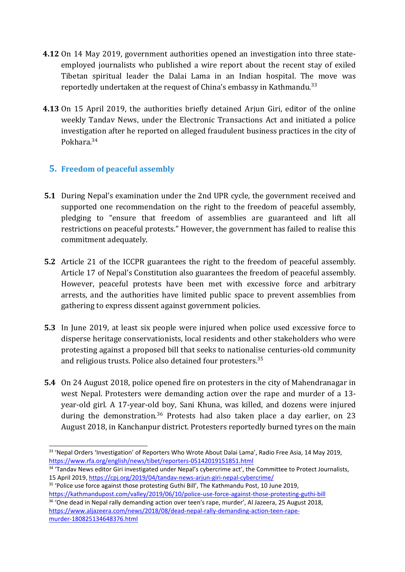- **4.12** On 14 May 2019, governmen<sup>t</sup> authorities opened an investigation into three stateemployed journalists who published <sup>a</sup> wire report about the recent stay of exiled Tibetan spiritual leader the Dalai Lama in an Indian hospital. The move was reportedly undertaken at the request of China's embassy in Kathmandu.<sup>33</sup>
- **4.13** On 15 April 2019, the authorities briefly detained Arjun Giri, editor of the online weekly Tandav News, under the Electronic Transactions Act and initiated <sup>a</sup> police investigation after he reported on alleged fraudulent business practices in the city of Pokhara.<sup>34</sup>

#### **5. Freedom of peaceful assembly**

- **5.1** During Nepal'<sup>s</sup> examination under the 2nd UPR cycle, the governmen<sup>t</sup> received and supported one recommendation on the right to the freedom of peaceful assembly, pledging to "ensure that freedom of assemblies are guaranteed and lift all restrictions on peaceful protests." However, the governmen<sup>t</sup> has failed to realise this commitment adequately.
- **5.2** Article 21 of the ICCPR guarantees the right to the freedom of peaceful assembly. Article 17 of Nepal'<sup>s</sup> Constitution also guarantees the freedom of peaceful assembly. However, peaceful protests have been met with excessive force and arbitrary arrests, and the authorities have limited public space to prevent assemblies from gathering to express dissent against governmen<sup>t</sup> policies.
- **5.3** In June 2019, at least six people were injured when police used excessive force to disperse heritage conservationists, local residents and other stakeholders who were protesting against <sup>a</sup> proposed bill that seeks to nationalise centuries-old community and religious trusts. Police also detained four protesters.<sup>35</sup>
- **5.4** On 24 August 2018, police opened fire on protesters in the city of Mahendranagar in west Nepal. Protesters were demanding action over the rape and murder of <sup>a</sup> 13 year-old girl. A 17-year-old boy, Sani Khuna, was killed, and dozens were injured during the demonstration.<sup>36</sup> Protests had also taken place a day earlier, on 23 August 2018, in Kanchanpur district. Protesters reportedly burned tyres on the main

<sup>&</sup>lt;sup>33</sup> 'Nepal Orders 'Investigation' of Reporters Who Wrote About Dalai Lama', Radio Free Asia, 14 May 2019, <https://www.rfa.org/english/news/tibet/reporters-05142019151851.html>

<sup>&</sup>lt;sup>34</sup> 'Tandav News editor Giri investigated under Nepal's cybercrime act', the Committee to Protect Journalists, 15 April 2019, <https://cpj.org/2019/04/tandav-news-arjun-giri-nepal-cybercrime/>

<sup>&</sup>lt;sup>35</sup> 'Police use force against those protesting Guthi Bill', The Kathmandu Post, 10 June 2019, <https://kathmandupost.com/valley/2019/06/10/police-use-force-against-those-protesting-guthi-bill>

<sup>&</sup>lt;sup>36</sup> 'One dead in Nepal rally demanding action over teen's rape, murder', Al Jazeera, 25 August 2018, [https://www.aljazeera.com/news/2018/08/dead-nepal-rally-demanding-action-teen-rape](https://www.aljazeera.com/news/2018/08/dead-nepal-rally-demanding-action-teen-rape-murder-180825134648376.html)[murder-180825134648376.html](https://www.aljazeera.com/news/2018/08/dead-nepal-rally-demanding-action-teen-rape-murder-180825134648376.html)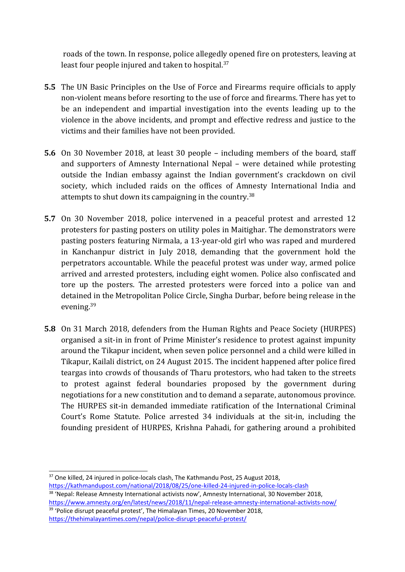roads of the town. In response, police allegedly opened fire on protesters, leaving at least four people injured and taken to hospital.<sup>37</sup>

- **5.5** The UN Basic Principles on the Use of Force and Firearms require officials to apply non-violent means before resorting to the use of force and firearms. There has yet to be an independent and impartial investigation into the events leading up to the violence in the above incidents, and prompt and effective redress and justice to the victims and their families have not been provided.
- **5.6** On 30 November 2018, at least 30 people including members of the board, staff and supporters of Amnesty International Nepal – were detained while protesting outside the Indian embassy against the Indian government'<sup>s</sup> crackdown on civil society, which included raids on the offices of Amnesty International India and attempts to shut down its campaigning in the country. $^{38}$
- **5.7** On 30 November 2018, police intervened in <sup>a</sup> peaceful protest and arrested 12 protesters for pasting posters on utility poles in Maitighar. The demonstrators were pasting posters featuring Nirmala, <sup>a</sup> 13-year-old girl who was raped and murdered in Kanchanpur district in July 2018, demanding that the governmen<sup>t</sup> hold the perpetrators accountable. While the peaceful protest was under way, armed police arrived and arrested protesters, including eight women. Police also confiscated and tore up the posters. The arrested protesters were forced into <sup>a</sup> police van and detained in the Metropolitan Police Circle, Singha Durbar, before being release in the evening.<sup>39</sup>
- **5.8** On 31 March 2018, defenders from the Human Rights and Peace Society (HURPES) organised <sup>a</sup> sit-in in front of Prime Minister'<sup>s</sup> residence to protest against impunity around the Tikapur incident, when seven police personnel and <sup>a</sup> child were killed in Tikapur, Kailali district, on 24 August 2015. The incident happened after police fired teargas into crowds of thousands of Tharu protestors, who had taken to the streets to protest against federal boundaries proposed by the governmen<sup>t</sup> during negotiations for <sup>a</sup> new constitution and to demand <sup>a</sup> separate, autonomous province. The HURPES sit-in demanded immediate ratification of the International Criminal Court'<sup>s</sup> Rome Statute. Police arrested 34 individuals at the sit-in, including the founding president of HURPES, Krishna Pahadi, for gathering around <sup>a</sup> prohibited

<sup>38</sup> 'Nepal: Release Amnesty International activists now', Amnesty International, 30 November 2018, <https://www.amnesty.org/en/latest/news/2018/11/nepal-release-amnesty-international-activists-now/> <sup>39</sup> 'Police disrupt peaceful protest', The Himalayan Times, 20 November 2018, <https://thehimalayantimes.com/nepal/police-disrupt-peaceful-protest/>

 $37$  One killed, 24 injured in police-locals clash, The Kathmandu Post, 25 August 2018, <https://kathmandupost.com/national/2018/08/25/one-killed-24-injured-in-police-locals-clash>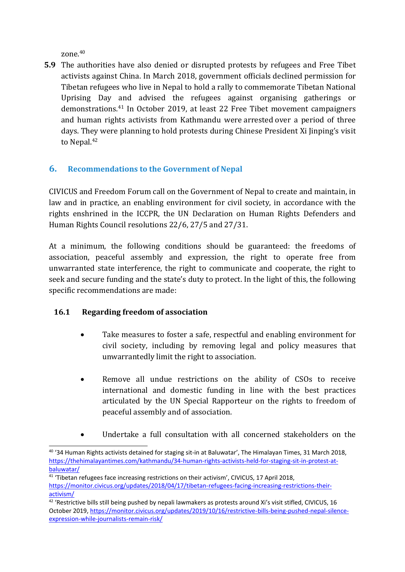zone. 40

**5.9** The authorities have also denied or disrupted protests by refugees and Free Tibet activists against China. In March 2018, governmen<sup>t</sup> officials declined permission for Tibetan refugees who live in Nepal to hold <sup>a</sup> rally to commemorate Tibetan National Uprising Day and advised the refugees against organising gatherings or demonstrations. 41 In October 2019, at least 22 Free Tibet movement campaigners and human rights activists from Kathmandu were arrested over <sup>a</sup> period of three days. They were planning to hold protests during Chinese President Xi Jinping'<sup>s</sup> visit to Nepal. 42

## **6. Recommendations to the Government of Nepal**

CIVICUS and Freedom Forum call on the Government of Nepal to create and maintain, in law and in practice, an enabling environment for civil society, in accordance with the rights enshrined in the ICCPR, the UN Declaration on Human Rights Defenders and Human Rights Council resolutions 22/6, 27/5 and 27/31.

At <sup>a</sup> minimum, the following conditions should be guaranteed: the freedoms of association, peaceful assembly and expression, the right to operate free from unwarranted state interference, the right to communicate and cooperate, the right to seek and secure funding and the state'<sup>s</sup> duty to protect. In the light of this, the following specific recommendations are made:

#### **16.1 Regarding freedom of association**

- . Take measures to foster <sup>a</sup> safe, respectful and enabling environment for civil society, including by removing legal and policy measures that unwarrantedly limit the right to association.
- $\bullet$  Remove all undue restrictions on the ability of CSOs to receive international and domestic funding in line with the best practices articulated by the UN Special Rapporteur on the rights to freedom of peaceful assembly and of association.
- $\bullet$ Undertake <sup>a</sup> full consultation with all concerned stakeholders on the

<sup>&</sup>lt;sup>40</sup> '34 Human Rights activists detained for staging sit-in at Baluwatar', The Himalayan Times, 31 March 2018, [https://thehimalayantimes.com/kathmandu/34-human-rights-activists-held-for-staging-sit-in-protest-at](https://thehimalayantimes.com/kathmandu/34-human-rights-activists-held-for-staging-sit-in-protest-at-baluwatar/)[baluwatar/](https://thehimalayantimes.com/kathmandu/34-human-rights-activists-held-for-staging-sit-in-protest-at-baluwatar/)

<sup>&</sup>lt;sup>41</sup> 'Tibetan refugees face increasing restrictions on their activism', CIVICUS, 17 April 2018,

[https://monitor.civicus.org/updates/2018/04/17/tibetan-refugees-facing-increasing-restrictions-their](https://monitor.civicus.org/updates/2018/04/17/tibetan-refugees-facing-increasing-restrictions-their-activism/)[activism/](https://monitor.civicus.org/updates/2018/04/17/tibetan-refugees-facing-increasing-restrictions-their-activism/)

<sup>&</sup>lt;sup>42</sup> 'Restrictive bills still being pushed by nepali lawmakers as protests around Xi's visit stifled, CIVICUS, 16 October 2019, [https://monitor.civicus.org/updates/2019/10/16/restrictive-bills-being-pushed-nepal-silence](https://monitor.civicus.org/updates/2019/10/16/restrictive-bills-being-pushed-nepal-silence-expression-while-journalists-remain-risk/)[expression-while-journalists-remain-risk/](https://monitor.civicus.org/updates/2019/10/16/restrictive-bills-being-pushed-nepal-silence-expression-while-journalists-remain-risk/)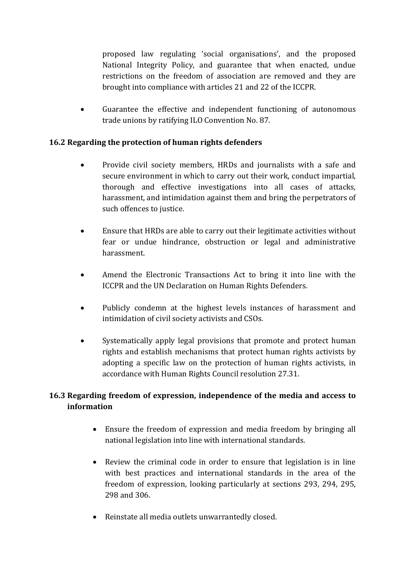proposed law regulating 'social organisations', and the proposed National Integrity Policy, and guarantee that when enacted, undue restrictions on the freedom of association are removed and they are brought into compliance with articles 21 and 22 of the ICCPR.

0 Guarantee the effective and independent functioning of autonomous trade unions by ratifying ILO Convention No. 87.

#### **16.2 Regarding the protection of human rights defenders**

- $\bullet$  Provide civil society members, HRDs and journalists with <sup>a</sup> safe and secure environment in which to carry out their work, conduct impartial, thorough and effective investigations into all cases of attacks, harassment, and intimidation against them and bring the perpetrators of such offences to justice.
- . Ensure that HRDs are able to carry out their legitimate activities without fear or undue hindrance, obstruction or legal and administrative harassment.
- $\bullet$  Amend the Electronic Transactions Act to bring it into line with the ICCPR and the UN Declaration on Human Rights Defenders.
- 0 Publicly condemn at the highest levels instances of harassment and intimidation of civil society activists and CSOs.
- $\bullet$  Systematically apply legal provisions that promote and protect human rights and establish mechanisms that protect human rights activists by adopting <sup>a</sup> specific law on the protection of human rights activists, in accordance with Human Rights Council resolution 27.31.

## **16.3 Regarding freedom of expression, independence of the media and access to information**

- Ensure the freedom of expression and media freedom by bringing all national legislation into line with international standards.
- Review the criminal code in order to ensure that legislation is in line with best practices and international standards in the area of the freedom of expression, looking particularly at sections 293, 294, 295, 298 and 306.
- Reinstate all media outlets unwarrantedly closed.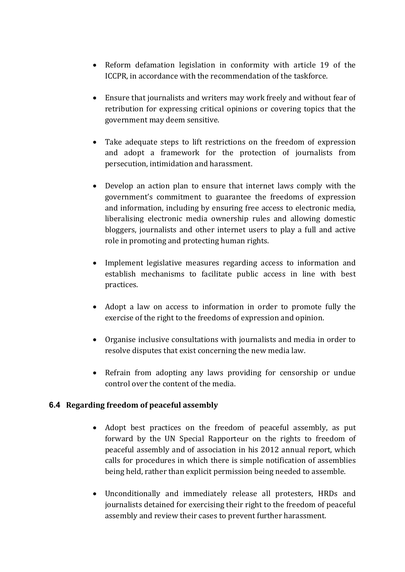- Reform defamation legislation in conformity with article 19 of the ICCPR, in accordance with the recommendation of the taskforce.
- Ensure that journalists and writers may work freely and without fear of retribution for expressing critical opinions or covering topics that the governmen<sup>t</sup> may deem sensitive.
- Take adequate steps to lift restrictions on the freedom of expression and adopt <sup>a</sup> framework for the protection of journalists from persecution, intimidation and harassment.
- Develop an action plan to ensure that internet laws comply with the government'<sup>s</sup> commitment to guarantee the freedoms of expression and information, including by ensuring free access to electronic media, liberalising electronic media ownership rules and allowing domestic bloggers, journalists and other internet users to play <sup>a</sup> full and active role in promoting and protecting human rights.
- Implement legislative measures regarding access to information and establish mechanisms to facilitate public access in line with best practices.
- Adopt <sup>a</sup> law on access to information in order to promote fully the exercise of the right to the freedoms of expression and opinion.
- Organise inclusive consultations with journalists and media in order to resolve disputes that exist concerning the new media law.
- Refrain from adopting any laws providing for censorship or undue control over the content of the media.

#### **6.4 Regarding freedom of peaceful assembly**

- Adopt best practices on the freedom of peaceful assembly, as put forward by the UN Special Rapporteur on the rights to freedom of peaceful assembly and of association in his 2012 annual report, which calls for procedures in which there is simple notification of assemblies being held, rather than explicit permission being needed to assemble.
- Unconditionally and immediately release all protesters, HRDs and journalists detained for exercising their right to the freedom of peaceful assembly and review their cases to prevent further harassment.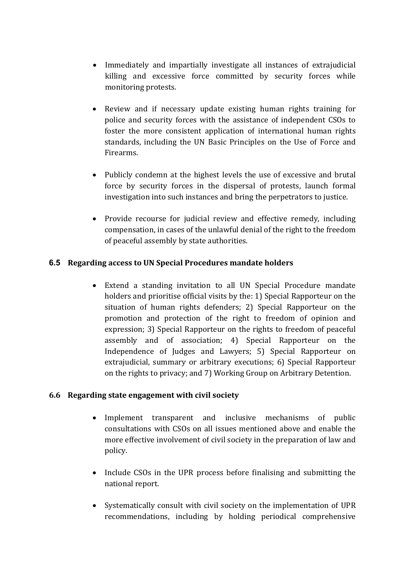- Immediately and impartially investigate all instances of extrajudicial killing and excessive force committed by security forces while monitoring protests.
- Review and if necessary update existing human rights training for police and security forces with the assistance of independent CSOs to foster the more consistent application of international human rights standards, including the UN Basic Principles on the Use of Force and Firearms.
- Publicly condemn at the highest levels the use of excessive and brutal force by security forces in the dispersal of protests, launch formal investigation into such instances and bring the perpetrators to justice.
- Provide recourse for judicial review and effective remedy, including compensation, in cases of the unlawful denial of the right to the freedom of peaceful assembly by state authorities.

#### **6.5 Regarding access to UN Special Procedures mandate holders**

 Extend <sup>a</sup> standing invitation to all UN Special Procedure mandate holders and prioritise official visits by the: 1) Special Rapporteur on the situation of human rights defenders; 2) Special Rapporteur on the promotion and protection of the right to freedom of opinion and expression; 3) Special Rapporteur on the rights to freedom of peaceful assembly and of association; 4) Special Rapporteur on the Independence of Judges and Lawyers; 5) Special Rapporteur on extrajudicial, summary or arbitrary executions; 6) Special Rapporteur on the rights to privacy; and 7) Working Group on Arbitrary Detention.

#### **6.6 Regarding state engagement with civil society**

- Implement transparent and inclusive mechanisms of public consultations with CSOs on all issues mentioned above and enable the more effective involvement of civil society in the preparation of law and policy.
- Include CSOs in the UPR process before finalising and submitting the national report.
- Systematically consult with civil society on the implementation of UPR recommendations, including by holding periodical comprehensive